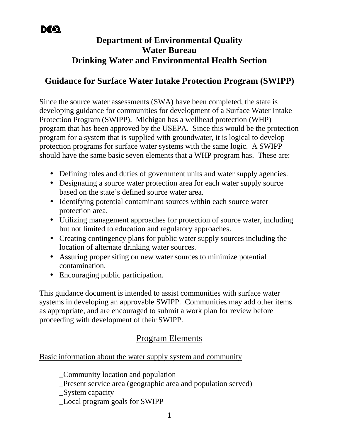# **Department of Environmental Quality Water Bureau Drinking Water and Environmental Health Section**

### **Guidance for Surface Water Intake Protection Program (SWIPP)**

Since the source water assessments (SWA) have been completed, the state is developing guidance for communities for development of a Surface Water Intake Protection Program (SWIPP). Michigan has a wellhead protection (WHP) program that has been approved by the USEPA. Since this would be the protection program for a system that is supplied with groundwater, it is logical to develop protection programs for surface water systems with the same logic. A SWIPP should have the same basic seven elements that a WHP program has. These are:

- Defining roles and duties of government units and water supply agencies.
- Designating a source water protection area for each water supply source based on the state's defined source water area.
- Identifying potential contaminant sources within each source water protection area.
- Utilizing management approaches for protection of source water, including but not limited to education and regulatory approaches.
- Creating contingency plans for public water supply sources including the location of alternate drinking water sources.
- Assuring proper siting on new water sources to minimize potential contamination.
- Encouraging public participation.

This guidance document is intended to assist communities with surface water systems in developing an approvable SWIPP. Communities may add other items as appropriate, and are encouraged to submit a work plan for review before proceeding with development of their SWIPP.

## Program Elements

Basic information about the water supply system and community

\_Community location and population

\_Present service area (geographic area and population served)

\_System capacity

\_Local program goals for SWIPP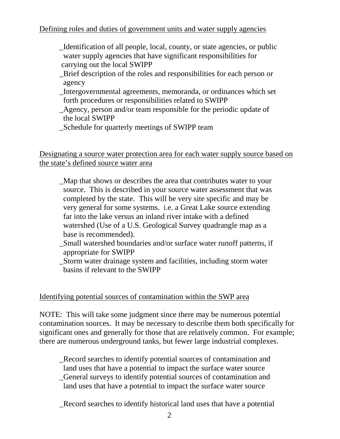### Defining roles and duties of government units and water supply agencies

- \_Identification of all people, local, county, or state agencies, or public water supply agencies that have significant responsibilities for carrying out the local SWIPP
- \_Brief description of the roles and responsibilities for each person or agency
- \_Intergovernmental agreements, memoranda, or ordinances which set forth procedures or responsibilities related to SWIPP
- \_Agency, person and/or team responsible for the periodic update of the local SWIPP
- \_Schedule for quarterly meetings of SWIPP team

Designating a source water protection area for each water supply source based on the state's defined source water area

- \_Map that shows or describes the area that contributes water to your source. This is described in your source water assessment that was completed by the state. This will be very site specific and may be very general for some systems. i.e. a Great Lake source extending far into the lake versus an inland river intake with a defined watershed (Use of a U.S. Geological Survey quadrangle map as a base is recommended).
- \_Small watershed boundaries and/or surface water runoff patterns, if appropriate for SWIPP
- \_Storm water drainage system and facilities, including storm water basins if relevant to the SWIPP

### Identifying potential sources of contamination within the SWP area

NOTE: This will take some judgment since there may be numerous potential contamination sources. It may be necessary to describe them both specifically for significant ones and generally for those that are relatively common. For example; there are numerous underground tanks, but fewer large industrial complexes.

\_Record searches to identify potential sources of contamination and land uses that have a potential to impact the surface water source \_General surveys to identify potential sources of contamination and land uses that have a potential to impact the surface water source

\_Record searches to identify historical land uses that have a potential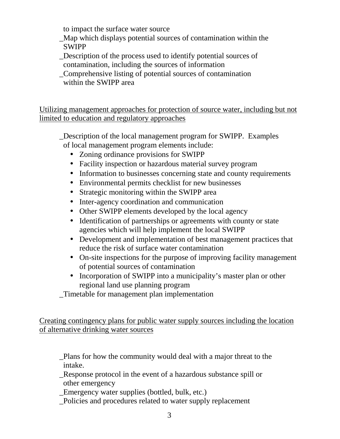to impact the surface water source

- \_Map which displays potential sources of contamination within the SWIPP
- \_Description of the process used to identify potential sources of contamination, including the sources of information
- \_Comprehensive listing of potential sources of contamination within the SWIPP area

Utilizing management approaches for protection of source water, including but not limited to education and regulatory approaches

\_Description of the local management program for SWIPP. Examples of local management program elements include:

- Zoning ordinance provisions for SWIPP
- Facility inspection or hazardous material survey program
- Information to businesses concerning state and county requirements
- Environmental permits checklist for new businesses
- Strategic monitoring within the SWIPP area
- Inter-agency coordination and communication
- Other SWIPP elements developed by the local agency
- Identification of partnerships or agreements with county or state agencies which will help implement the local SWIPP
- Development and implementation of best management practices that reduce the risk of surface water contamination
- On-site inspections for the purpose of improving facility management of potential sources of contamination
- Incorporation of SWIPP into a municipality's master plan or other regional land use planning program

\_Timetable for management plan implementation

Creating contingency plans for public water supply sources including the location of alternative drinking water sources

\_Plans for how the community would deal with a major threat to the intake.

- \_Response protocol in the event of a hazardous substance spill or other emergency
- \_Emergency water supplies (bottled, bulk, etc.)
- \_Policies and procedures related to water supply replacement